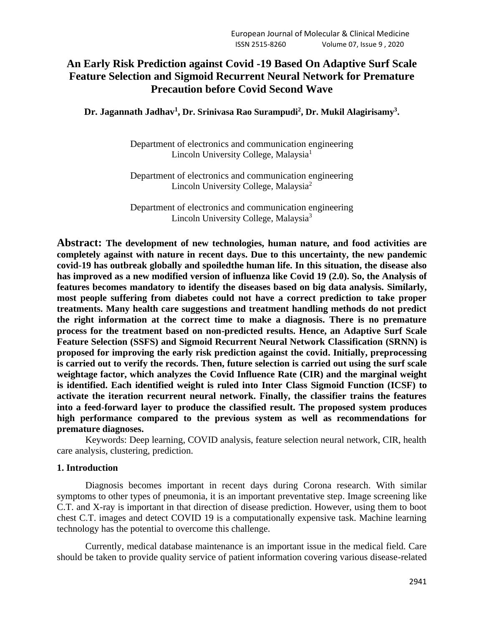# **An Early Risk Prediction against Covid -19 Based On Adaptive Surf Scale Feature Selection and Sigmoid Recurrent Neural Network for Premature Precaution before Covid Second Wave**

**Dr. Jagannath Jadhav<sup>1</sup> , Dr. Srinivasa Rao Surampudi<sup>2</sup> , Dr. Mukil Alagirisamy<sup>3</sup> .**

Department of electronics and communication engineering Lincoln University College, Malaysia<sup>1</sup>

Department of electronics and communication engineering Lincoln University College, Malaysia<sup>2</sup>

Department of electronics and communication engineering Lincoln University College, Malaysia<sup>3</sup>

**Abstract: The development of new technologies, human nature, and food activities are completely against with nature in recent days. Due to this uncertainty, the new pandemic covid-19 has outbreak globally and spoiledthe human life. In this situation, the disease also has improved as a new modified version of influenza like Covid 19 (2.0). So, the Analysis of features becomes mandatory to identify the diseases based on big data analysis. Similarly, most people suffering from diabetes could not have a correct prediction to take proper treatments. Many health care suggestions and treatment handling methods do not predict the right information at the correct time to make a diagnosis. There is no premature process for the treatment based on non-predicted results. Hence, an Adaptive Surf Scale Feature Selection (SSFS) and Sigmoid Recurrent Neural Network Classification (SRNN) is proposed for improving the early risk prediction against the covid. Initially, preprocessing is carried out to verify the records. Then, future selection is carried out using the surf scale weightage factor, which analyzes the Covid Influence Rate (CIR) and the marginal weight is identified. Each identified weight is ruled into Inter Class Sigmoid Function (ICSF) to activate the iteration recurrent neural network. Finally, the classifier trains the features into a feed-forward layer to produce the classified result. The proposed system produces high performance compared to the previous system as well as recommendations for premature diagnoses.**

Keywords: Deep learning, COVID analysis, feature selection neural network, CIR, health care analysis, clustering, prediction.

#### **1. Introduction**

Diagnosis becomes important in recent days during Corona research. With similar symptoms to other types of pneumonia, it is an important preventative step. Image screening like C.T. and X-ray is important in that direction of disease prediction. However, using them to boot chest C.T. images and detect COVID 19 is a computationally expensive task. Machine learning technology has the potential to overcome this challenge.

Currently, medical database maintenance is an important issue in the medical field. Care should be taken to provide quality service of patient information covering various disease-related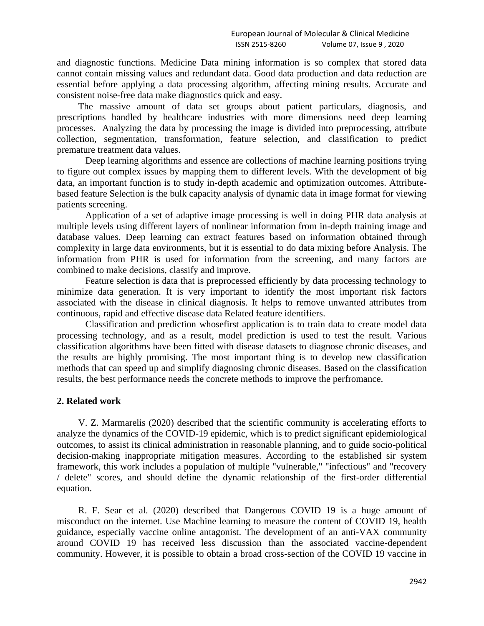and diagnostic functions. Medicine Data mining information is so complex that stored data cannot contain missing values and redundant data. Good data production and data reduction are essential before applying a data processing algorithm, affecting mining results. Accurate and consistent noise-free data make diagnostics quick and easy.

The massive amount of data set groups about patient particulars, diagnosis, and prescriptions handled by healthcare industries with more dimensions need deep learning processes. Analyzing the data by processing the image is divided into preprocessing, attribute collection, segmentation, transformation, feature selection, and classification to predict premature treatment data values.

Deep learning algorithms and essence are collections of machine learning positions trying to figure out complex issues by mapping them to different levels. With the development of big data, an important function is to study in-depth academic and optimization outcomes. Attributebased feature Selection is the bulk capacity analysis of dynamic data in image format for viewing patients screening.

Application of a set of adaptive image processing is well in doing PHR data analysis at multiple levels using different layers of nonlinear information from in-depth training image and database values. Deep learning can extract features based on information obtained through complexity in large data environments, but it is essential to do data mixing before Analysis. The information from PHR is used for information from the screening, and many factors are combined to make decisions, classify and improve.

Feature selection is data that is preprocessed efficiently by data processing technology to minimize data generation. It is very important to identify the most important risk factors associated with the disease in clinical diagnosis. It helps to remove unwanted attributes from continuous, rapid and effective disease data Related feature identifiers.

Classification and prediction whosefirst application is to train data to create model data processing technology, and as a result, model prediction is used to test the result. Various classification algorithms have been fitted with disease datasets to diagnose chronic diseases, and the results are highly promising. The most important thing is to develop new classification methods that can speed up and simplify diagnosing chronic diseases. Based on the classification results, the best performance needs the concrete methods to improve the perfromance.

#### **2. Related work**

V. Z. Marmarelis (2020) described that the scientific community is accelerating efforts to analyze the dynamics of the COVID-19 epidemic, which is to predict significant epidemiological outcomes, to assist its clinical administration in reasonable planning, and to guide socio-political decision-making inappropriate mitigation measures. According to the established sir system framework, this work includes a population of multiple "vulnerable," "infectious" and "recovery / delete" scores, and should define the dynamic relationship of the first-order differential equation.

R. F. Sear et al. (2020) described that Dangerous COVID 19 is a huge amount of misconduct on the internet. Use Machine learning to measure the content of COVID 19, health guidance, especially vaccine online antagonist. The development of an anti-VAX community around COVID 19 has received less discussion than the associated vaccine-dependent community. However, it is possible to obtain a broad cross-section of the COVID 19 vaccine in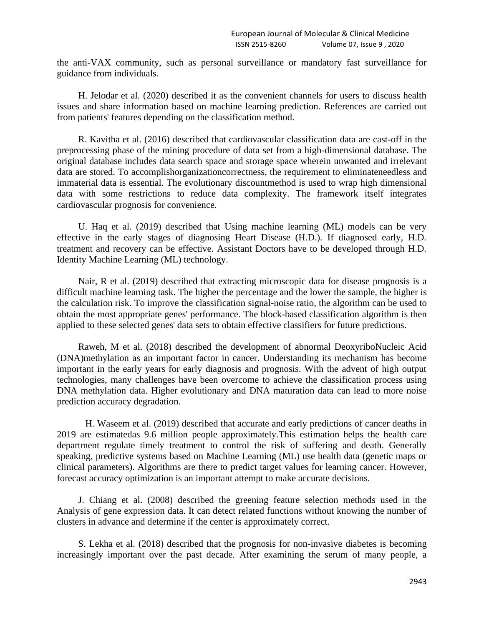the anti-VAX community, such as personal surveillance or mandatory fast surveillance for guidance from individuals.

H. Jelodar et al. (2020) described it as the convenient channels for users to discuss health issues and share information based on machine learning prediction. References are carried out from patients' features depending on the classification method.

R. Kavitha et al. (2016) described that cardiovascular classification data are cast-off in the preprocessing phase of the mining procedure of data set from a high-dimensional database. The original database includes data search space and storage space wherein unwanted and irrelevant data are stored. To accomplishorganizationcorrectness, the requirement to eliminateneedless and immaterial data is essential. The evolutionary discountmethod is used to wrap high dimensional data with some restrictions to reduce data complexity. The framework itself integrates cardiovascular prognosis for convenience.

U. Haq et al. (2019) described that Using machine learning (ML) models can be very effective in the early stages of diagnosing Heart Disease (H.D.). If diagnosed early, H.D. treatment and recovery can be effective. Assistant Doctors have to be developed through H.D. Identity Machine Learning (ML) technology.

Nair, R et al. (2019) described that extracting microscopic data for disease prognosis is a difficult machine learning task. The higher the percentage and the lower the sample, the higher is the calculation risk. To improve the classification signal-noise ratio, the algorithm can be used to obtain the most appropriate genes' performance. The block-based classification algorithm is then applied to these selected genes' data sets to obtain effective classifiers for future predictions.

Raweh, M et al. (2018) described the development of abnormal DeoxyriboNucleic Acid (DNA)methylation as an important factor in cancer. Understanding its mechanism has become important in the early years for early diagnosis and prognosis. With the advent of high output technologies, many challenges have been overcome to achieve the classification process using DNA methylation data. Higher evolutionary and DNA maturation data can lead to more noise prediction accuracy degradation.

H. Waseem et al. (2019) described that accurate and early predictions of cancer deaths in 2019 are estimatedas 9.6 million people approximately.This estimation helps the health care department regulate timely treatment to control the risk of suffering and death. Generally speaking, predictive systems based on Machine Learning (ML) use health data (genetic maps or clinical parameters). Algorithms are there to predict target values for learning cancer. However, forecast accuracy optimization is an important attempt to make accurate decisions.

J. Chiang et al. (2008) described the greening feature selection methods used in the Analysis of gene expression data. It can detect related functions without knowing the number of clusters in advance and determine if the center is approximately correct.

S. Lekha et al. (2018) described that the prognosis for non-invasive diabetes is becoming increasingly important over the past decade. After examining the serum of many people, a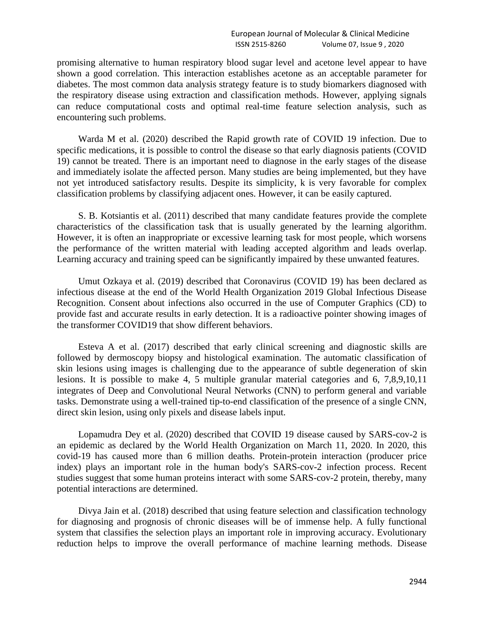promising alternative to human respiratory blood sugar level and acetone level appear to have shown a good correlation. This interaction establishes acetone as an acceptable parameter for diabetes. The most common data analysis strategy feature is to study biomarkers diagnosed with the respiratory disease using extraction and classification methods. However, applying signals can reduce computational costs and optimal real-time feature selection analysis, such as encountering such problems.

Warda M et al. (2020) described the Rapid growth rate of COVID 19 infection. Due to specific medications, it is possible to control the disease so that early diagnosis patients (COVID 19) cannot be treated. There is an important need to diagnose in the early stages of the disease and immediately isolate the affected person. Many studies are being implemented, but they have not yet introduced satisfactory results. Despite its simplicity, k is very favorable for complex classification problems by classifying adjacent ones. However, it can be easily captured.

S. B. Kotsiantis et al. (2011) described that many candidate features provide the complete characteristics of the classification task that is usually generated by the learning algorithm. However, it is often an inappropriate or excessive learning task for most people, which worsens the performance of the written material with leading accepted algorithm and leads overlap. Learning accuracy and training speed can be significantly impaired by these unwanted features.

Umut Ozkaya et al. (2019) described that Coronavirus (COVID 19) has been declared as infectious disease at the end of the World Health Organization 2019 Global Infectious Disease Recognition. Consent about infections also occurred in the use of Computer Graphics (CD) to provide fast and accurate results in early detection. It is a radioactive pointer showing images of the transformer COVID19 that show different behaviors.

Esteva A et al. (2017) described that early clinical screening and diagnostic skills are followed by dermoscopy biopsy and histological examination. The automatic classification of skin lesions using images is challenging due to the appearance of subtle degeneration of skin lesions. It is possible to make 4, 5 multiple granular material categories and 6, 7,8,9,10,11 integrates of Deep and Convolutional Neural Networks (CNN) to perform general and variable tasks. Demonstrate using a well-trained tip-to-end classification of the presence of a single CNN, direct skin lesion, using only pixels and disease labels input.

Lopamudra Dey et al. (2020) described that COVID 19 disease caused by SARS-cov-2 is an epidemic as declared by the World Health Organization on March 11, 2020. In 2020, this covid-19 has caused more than 6 million deaths. Protein-protein interaction (producer price index) plays an important role in the human body's SARS-cov-2 infection process. Recent studies suggest that some human proteins interact with some SARS-cov-2 protein, thereby, many potential interactions are determined.

Divya Jain et al. (2018) described that using feature selection and classification technology for diagnosing and prognosis of chronic diseases will be of immense help. A fully functional system that classifies the selection plays an important role in improving accuracy. Evolutionary reduction helps to improve the overall performance of machine learning methods. Disease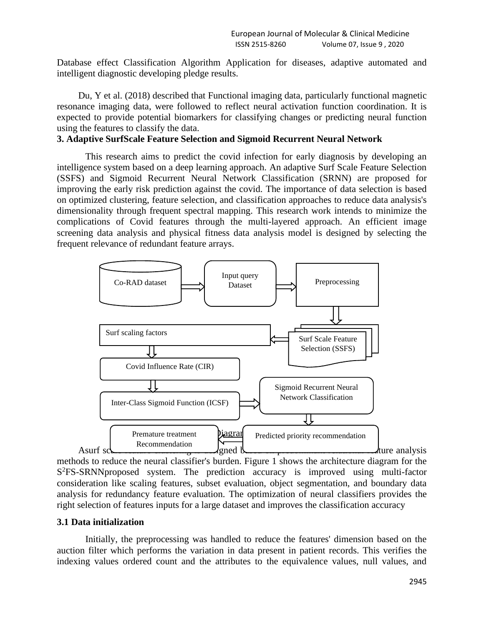Database effect Classification Algorithm Application for diseases, adaptive automated and intelligent diagnostic developing pledge results.

Du, Y et al. (2018) described that Functional imaging data, particularly functional magnetic resonance imaging data, were followed to reflect neural activation function coordination. It is expected to provide potential biomarkers for classifying changes or predicting neural function using the features to classify the data.

## **3. Adaptive SurfScale Feature Selection and Sigmoid Recurrent Neural Network**

This research aims to predict the covid infection for early diagnosis by developing an intelligence system based on a deep learning approach. An adaptive Surf Scale Feature Selection (SSFS) and Sigmoid Recurrent Neural Network Classification (SRNN) are proposed for improving the early risk prediction against the covid. The importance of data selection is based on optimized clustering, feature selection, and classification approaches to reduce data analysis's dimensionality through frequent spectral mapping. This research work intends to minimize the complications of Covid features through the multi-layered approach. An efficient image screening data analysis and physical fitness data analysis model is designed by selecting the frequent relevance of redundant feature arrays.



methods to reduce the neural classifier's burden. Figure 1 shows the architecture diagram for the S<sup>2</sup>FS-SRNNproposed system. The prediction accuracy is improved using multi-factor consideration like scaling features, subset evaluation, object segmentation, and boundary data analysis for redundancy feature evaluation. The optimization of neural classifiers provides the right selection of features inputs for a large dataset and improves the classification accuracy

#### **3.1 Data initialization**

Initially, the preprocessing was handled to reduce the features' dimension based on the auction filter which performs the variation in data present in patient records. This verifies the indexing values ordered count and the attributes to the equivalence values, null values, and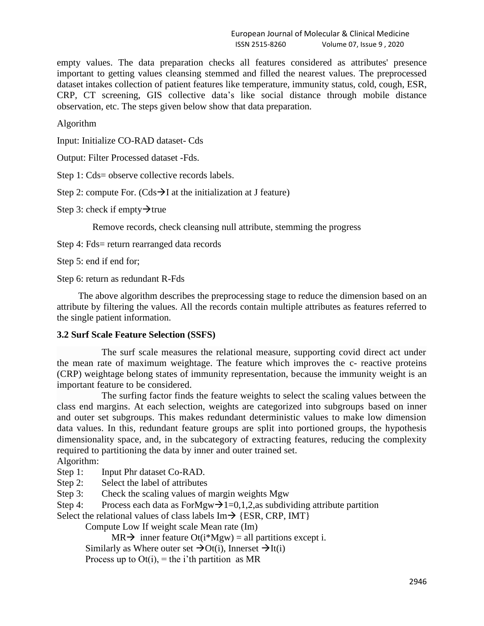empty values. The data preparation checks all features considered as attributes' presence important to getting values cleansing stemmed and filled the nearest values. The preprocessed dataset intakes collection of patient features like temperature, immunity status, cold, cough, ESR, CRP, CT screening, GIS collective data's like social distance through mobile distance observation, etc. The steps given below show that data preparation.

Algorithm

Input: Initialize CO-RAD dataset- Cds

Output: Filter Processed dataset -Fds.

Step 1: Cds= observe collective records labels.

Step 2: compute For. (Cds $\rightarrow$ I at the initialization at J feature)

Step 3: check if empty $\rightarrow$ true

Remove records, check cleansing null attribute, stemming the progress

Step 4: Fds= return rearranged data records

Step 5: end if end for;

Step 6: return as redundant R-Fds

The above algorithm describes the preprocessing stage to reduce the dimension based on an attribute by filtering the values. All the records contain multiple attributes as features referred to the single patient information.

## **3.2 Surf Scale Feature Selection (SSFS)**

The surf scale measures the relational measure, supporting covid direct act under the mean rate of maximum weightage. The feature which improves the c- reactive proteins (CRP) weightage belong states of immunity representation, because the immunity weight is an important feature to be considered.

The surfing factor finds the feature weights to select the scaling values between the class end margins. At each selection, weights are categorized into subgroups based on inner and outer set subgroups. This makes redundant deterministic values to make low dimension data values. In this, redundant feature groups are split into portioned groups, the hypothesis dimensionality space, and, in the subcategory of extracting features, reducing the complexity required to partitioning the data by inner and outer trained set.

Algorithm:

- Step 1: Input Phr dataset Co-RAD.
- Step 2: Select the label of attributes
- Step 3: Check the scaling values of margin weights Mgw

Step 4: Process each data as ForMgw $\rightarrow$ 1=0,1,2,as subdividing attribute partition

Select the relational values of class labels  $Im \rightarrow \{ESR, CRP, IMT\}$ 

Compute Low If weight scale Mean rate (Im)

 $MR \rightarrow$  inner feature Ot(i\*Mgw) = all partitions except i. Similarly as Where outer set  $\rightarrow$ Ot(i), Innerset  $\rightarrow$ It(i) Process up to  $Of(i)$ , = the i'th partition as MR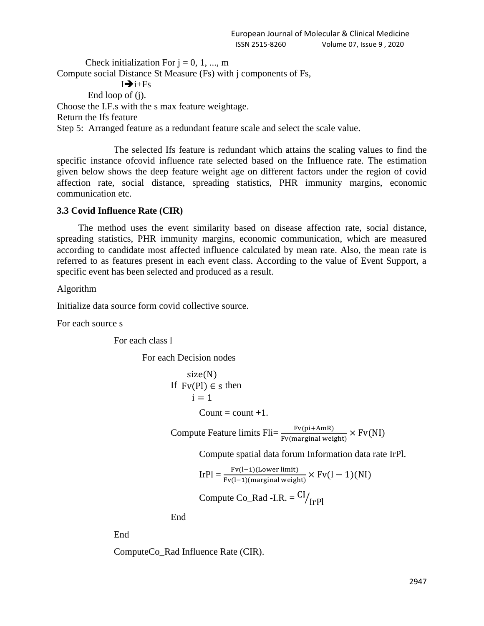Check initialization For  $j = 0, 1, ..., m$ Compute social Distance St Measure (Fs) with j components of Fs,  $I \rightarrow i + Fs$ End loop of (j). Choose the I.F.s with the s max feature weightage. Return the Ifs feature Step 5: Arranged feature as a redundant feature scale and select the scale value.

The selected Ifs feature is redundant which attains the scaling values to find the specific instance ofcovid influence rate selected based on the Influence rate. The estimation given below shows the deep feature weight age on different factors under the region of covid affection rate, social distance, spreading statistics, PHR immunity margins, economic communication etc.

## **3.3 Covid Influence Rate (CIR)**

The method uses the event similarity based on disease affection rate, social distance, spreading statistics, PHR immunity margins, economic communication, which are measured according to candidate most affected influence calculated by mean rate. Also, the mean rate is referred to as features present in each event class. According to the value of Event Support, a specific event has been selected and produced as a result.

Algorithm

Initialize data source form covid collective source.

For each source s

For each class l

For each Decision nodes

$$
size(N)
$$
  
If  $Fv(Pl) \in s$  then  
 $i = 1$ 

Count  $=$  count  $+1$ .

Compute Feature limits  $\text{Fli} = \frac{\text{Fv}(\text{pi} + \text{AmR})}{\text{Fv}(\text{marginal weight})} \times \text{Fv}(\text{NI})$ 

Compute spatial data forum Information data rate IrPl.

$$
IrPl = \frac{Fv(l-1)(Lower limit)}{Fv(l-1)(marginal weight)} \times Fv(l-1)(NI)
$$

Compute Co\_Rad -I.R. = 
$$
CI/_{IrPl}
$$

End

End

ComputeCo\_Rad Influence Rate (CIR).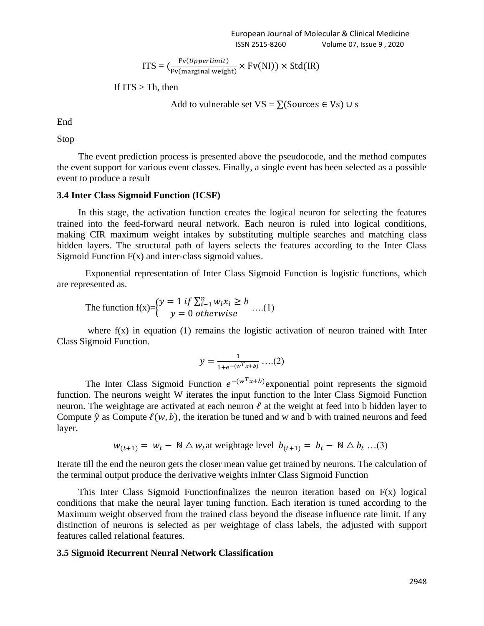$$
ITS = (\frac{Fv(Upperlimit)}{Fv(marginal weight)} \times Fv(NI)) \times Std(IR)
$$

If 
$$
ITS > Th
$$
, then

Add to vulnerable set  $VS = \sum$ (Sources  $\in Vs$ ) ∪ s

End

Stop

The event prediction process is presented above the pseudocode, and the method computes the event support for various event classes. Finally, a single event has been selected as a possible event to produce a result

#### **3.4 Inter Class Sigmoid Function (ICSF)**

In this stage, the activation function creates the logical neuron for selecting the features trained into the feed-forward neural network. Each neuron is ruled into logical conditions, making CIR maximum weight intakes by substituting multiple searches and matching class hidden layers. The structural path of layers selects the features according to the Inter Class Sigmoid Function  $F(x)$  and inter-class sigmoid values.

Exponential representation of Inter Class Sigmoid Function is logistic functions, which are represented as.

The function 
$$
f(x) = \begin{cases} y = 1 \text{ if } \sum_{i=1}^{n} w_i x_i \ge b \ y = 0 \text{ otherwise} \end{cases}
$$
 ....(1)

where  $f(x)$  in equation (1) remains the logistic activation of neuron trained with Inter Class Sigmoid Function.

$$
y = \frac{1}{1 + e^{-(w^T x + b)}} \dots (2)
$$

The Inter Class Sigmoid Function  $e^{-(w^T x + b)}$  exponential point represents the sigmoid function. The neurons weight W iterates the input function to the Inter Class Sigmoid Function neuron. The weightage are activated at each neuron  $\ell$  at the weight at feed into b hidden layer to Compute  $\hat{v}$  as Compute  $\ell(w, b)$ , the iteration be tuned and w and b with trained neurons and feed layer.

$$
w_{(t+1)} = w_t - \mathbb{N} \triangle w_t
$$
 at weightage level  $b_{(t+1)} = b_t - \mathbb{N} \triangle b_t ... (3)$ 

Iterate till the end the neuron gets the closer mean value get trained by neurons. The calculation of the terminal output produce the derivative weights inInter Class Sigmoid Function

This Inter Class Sigmoid Functionfinalizes the neuron iteration based on  $F(x)$  logical conditions that make the neural layer tuning function. Each iteration is tuned according to the Maximum weight observed from the trained class beyond the disease influence rate limit. If any distinction of neurons is selected as per weightage of class labels, the adjusted with support features called relational features.

#### **3.5 Sigmoid Recurrent Neural Network Classification**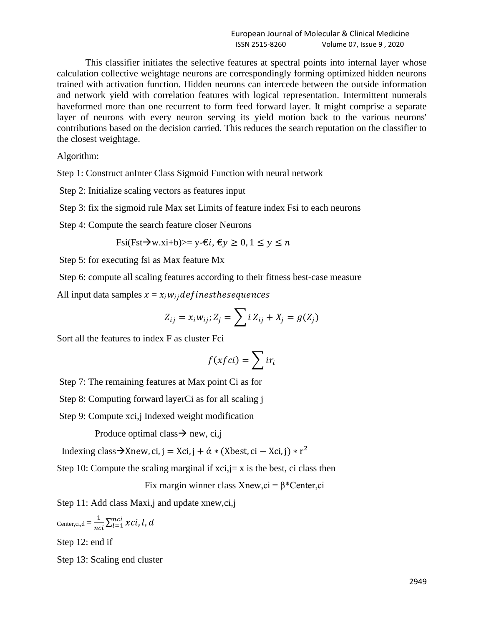This classifier initiates the selective features at spectral points into internal layer whose calculation collective weightage neurons are correspondingly forming optimized hidden neurons trained with activation function. Hidden neurons can intercede between the outside information and network yield with correlation features with logical representation. Intermittent numerals haveformed more than one recurrent to form feed forward layer. It might comprise a separate layer of neurons with every neuron serving its yield motion back to the various neurons' contributions based on the decision carried. This reduces the search reputation on the classifier to the closest weightage.

Algorithm:

Step 1: Construct anInter Class Sigmoid Function with neural network

Step 2: Initialize scaling vectors as features input

Step 3: fix the sigmoid rule Max set Limits of feature index Fsi to each neurons

Step 4: Compute the search feature closer Neurons

Fsi(Fst $\rightarrow$ w.xi+b)>= y- $\epsilon i$ ,  $\epsilon y \ge 0$ ,  $1 \le y \le n$ 

Step 5: for executing fsi as Max feature Mx

Step 6: compute all scaling features according to their fitness best-case measure

All input data samples  $x = x_i w_{ij}$  defines these quences

$$
Z_{ij} = x_i w_{ij}; Z_j = \sum i Z_{ij} + X_j = g(Z_j)
$$

Sort all the features to index F as cluster Fci

$$
f(xfci) = \sum ir_i
$$

Step 7: The remaining features at Max point Ci as for

Step 8: Computing forward layerCi as for all scaling j

Step 9: Compute xci,j Indexed weight modification

Produce optimal class  $\rightarrow$  new, ci,j

Indexing class  $\rightarrow$ Xnew, ci, j = Xci, j + ά \* (Xbest, ci – Xci, j) \* r<sup>2</sup>

Step 10: Compute the scaling marginal if  $xci, j=x$  is the best, ci class then

Fix margin winner class Xnew,  $ci = \beta^*$ Center,  $ci$ 

Step 11: Add class Maxi, j and update xnew, ci, j

$$
_{\text{Center,ci,d}} = \frac{1}{nci} \sum_{l=1}^{nci} xci, l, d
$$

Step 12: end if

Step 13: Scaling end cluster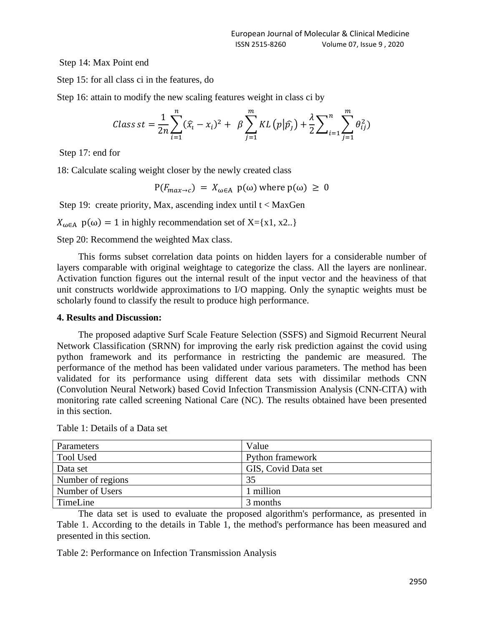Step 14: Max Point end

Step 15: for all class ci in the features, do

Step 16: attain to modify the new scaling features weight in class ci by

$$
Class\,st = \frac{1}{2n} \sum_{i=1}^{n} (\hat{x}_i - x_i)^2 + \beta \sum_{j=1}^{m} KL(p|\hat{p}_j) + \frac{\lambda}{2} \sum_{i=1}^{n} \sum_{j=1}^{m} \theta_{ij}^2)
$$

Step 17: end for

18: Calculate scaling weight closer by the newly created class

 $P(F_{max\rightarrow c}) = X_{\omega \in A} p(\omega)$  where  $p(\omega) \ge 0$ 

Step 19: create priority, Max, ascending index until  $t <$  MaxGen

 $X_{\omega \in A}$  p( $\omega$ ) = 1 in highly recommendation set of X={x1, x2..}

Step 20: Recommend the weighted Max class.

This forms subset correlation data points on hidden layers for a considerable number of layers comparable with original weightage to categorize the class. All the layers are nonlinear. Activation function figures out the internal result of the input vector and the heaviness of that unit constructs worldwide approximations to I/O mapping. Only the synaptic weights must be scholarly found to classify the result to produce high performance.

#### **4. Results and Discussion:**

The proposed adaptive Surf Scale Feature Selection (SSFS) and Sigmoid Recurrent Neural Network Classification (SRNN) for improving the early risk prediction against the covid using python framework and its performance in restricting the pandemic are measured. The performance of the method has been validated under various parameters. The method has been validated for its performance using different data sets with dissimilar methods CNN (Convolution Neural Network) based Covid Infection Transmission Analysis (CNN-CITA) with monitoring rate called screening National Care (NC). The results obtained have been presented in this section.

| Parameters        | Value               |
|-------------------|---------------------|
| <b>Tool Used</b>  | Python framework    |
| Data set          | GIS, Covid Data set |
| Number of regions | 35                  |
| Number of Users   | 1 million           |
| TimeLine          | 3 months            |

Table 1: Details of a Data set

The data set is used to evaluate the proposed algorithm's performance, as presented in Table 1. According to the details in Table 1, the method's performance has been measured and presented in this section.

Table 2: Performance on Infection Transmission Analysis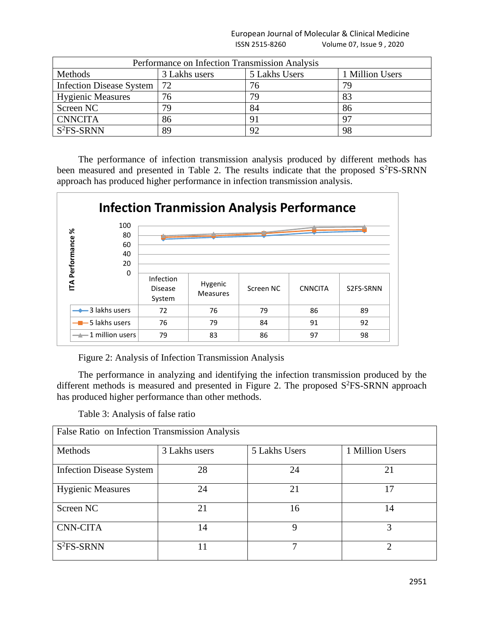European Journal of Molecular & Clinical Medicine ISSN 2515-8260 Volume 07, Issue 9 , 2020

| Performance on Infection Transmission Analysis |               |               |                 |  |
|------------------------------------------------|---------------|---------------|-----------------|--|
| Methods                                        | 3 Lakhs users | 5 Lakhs Users | 1 Million Users |  |
| Infection Disease System                       | 72            | 76            | 79              |  |
| <b>Hygienic Measures</b>                       | 76            | 79            | 83              |  |
| Screen NC                                      | 79            | 84            | 86              |  |
| <b>CNNCITA</b>                                 | 86            | 91            | 97              |  |
| $S2FS-SRNN$                                    | 89            | 92            | 98              |  |

The performance of infection transmission analysis produced by different methods has been measured and presented in Table 2. The results indicate that the proposed S<sup>2</sup>FS-SRNN approach has produced higher performance in infection transmission analysis.



Figure 2: Analysis of Infection Transmission Analysis

The performance in analyzing and identifying the infection transmission produced by the different methods is measured and presented in Figure 2. The proposed  $S^2FS-SRNN$  approach has produced higher performance than other methods.

Table 3: Analysis of false ratio

| False Ratio on Infection Transmission Analysis |               |               |                 |  |
|------------------------------------------------|---------------|---------------|-----------------|--|
| Methods                                        | 3 Lakhs users | 5 Lakhs Users | 1 Million Users |  |
| <b>Infection Disease System</b>                | 28            | 24            | 21              |  |
| <b>Hygienic Measures</b>                       | 24            | 21            | 17              |  |
| Screen NC                                      | 21            | 16            | 14              |  |
| <b>CNN-CITA</b>                                | 14            | Q             | 3               |  |
| $S2FS-SRNN$                                    |               | 7             |                 |  |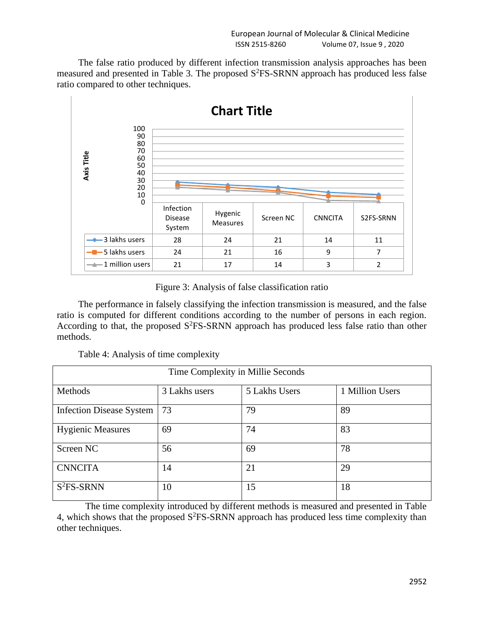The false ratio produced by different infection transmission analysis approaches has been measured and presented in Table 3. The proposed  $S<sup>2</sup>FS-SRNN$  approach has produced less false ratio compared to other techniques.



Figure 3: Analysis of false classification ratio

The performance in falsely classifying the infection transmission is measured, and the false ratio is computed for different conditions according to the number of persons in each region. According to that, the proposed  $S^2$ FS-SRNN approach has produced less false ratio than other methods.

| Table 4: Analysis of time complexity |  |
|--------------------------------------|--|
|--------------------------------------|--|

| Time Complexity in Millie Seconds |               |               |                 |  |
|-----------------------------------|---------------|---------------|-----------------|--|
| Methods                           | 3 Lakhs users | 5 Lakhs Users | 1 Million Users |  |
| Infection Disease System          | 73            | 79            | 89              |  |
| <b>Hygienic Measures</b>          | 69            | 74            | 83              |  |
| Screen NC                         | 56            | 69            | 78              |  |
| <b>CNNCITA</b>                    | 14            | 21            | 29              |  |
| $S2FS-SRNN$                       | 10            | 15            | 18              |  |

The time complexity introduced by different methods is measured and presented in Table 4, which shows that the proposed  $S^2$ FS-SRNN approach has produced less time complexity than other techniques.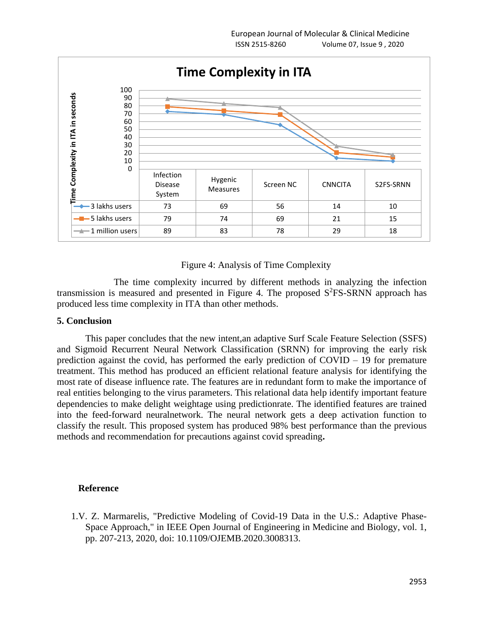

## Figure 4: Analysis of Time Complexity

The time complexity incurred by different methods in analyzing the infection transmission is measured and presented in Figure 4. The proposed  $S<sup>2</sup>FS-SRNN$  approach has produced less time complexity in ITA than other methods.

## **5. Conclusion**

This paper concludes that the new intent,an adaptive Surf Scale Feature Selection (SSFS) and Sigmoid Recurrent Neural Network Classification (SRNN) for improving the early risk prediction against the covid, has performed the early prediction of COVID – 19 for premature treatment. This method has produced an efficient relational feature analysis for identifying the most rate of disease influence rate. The features are in redundant form to make the importance of real entities belonging to the virus parameters. This relational data help identify important feature dependencies to make delight weightage using predictionrate. The identified features are trained into the feed-forward neuralnetwork. The neural network gets a deep activation function to classify the result. This proposed system has produced 98% best performance than the previous methods and recommendation for precautions against covid spreading**.**

#### **Reference**

1.V. Z. Marmarelis, "Predictive Modeling of Covid-19 Data in the U.S.: Adaptive Phase-Space Approach," in IEEE Open Journal of Engineering in Medicine and Biology, vol. 1, pp. 207-213, 2020, doi: 10.1109/OJEMB.2020.3008313.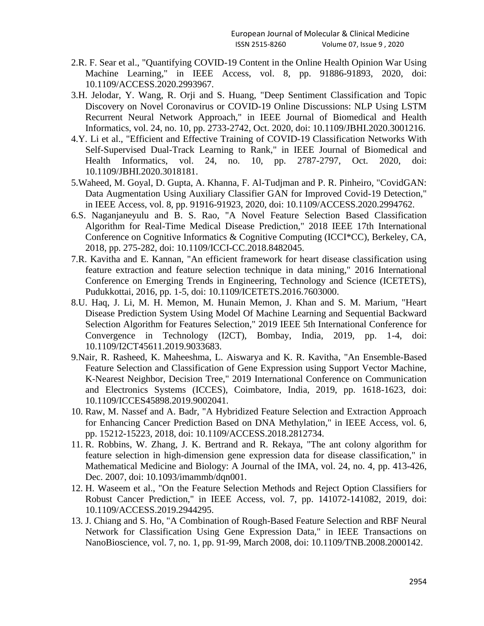- 2.R. F. Sear et al., "Quantifying COVID-19 Content in the Online Health Opinion War Using Machine Learning," in IEEE Access, vol. 8, pp. 91886-91893, 2020, doi: 10.1109/ACCESS.2020.2993967.
- 3.H. Jelodar, Y. Wang, R. Orji and S. Huang, "Deep Sentiment Classification and Topic Discovery on Novel Coronavirus or COVID-19 Online Discussions: NLP Using LSTM Recurrent Neural Network Approach," in IEEE Journal of Biomedical and Health Informatics, vol. 24, no. 10, pp. 2733-2742, Oct. 2020, doi: 10.1109/JBHI.2020.3001216.
- 4.Y. Li et al., "Efficient and Effective Training of COVID-19 Classification Networks With Self-Supervised Dual-Track Learning to Rank," in IEEE Journal of Biomedical and Health Informatics, vol. 24, no. 10, pp. 2787-2797, Oct. 2020, doi: 10.1109/JBHI.2020.3018181.
- 5.Waheed, M. Goyal, D. Gupta, A. Khanna, F. Al-Tudjman and P. R. Pinheiro, "CovidGAN: Data Augmentation Using Auxiliary Classifier GAN for Improved Covid-19 Detection," in IEEE Access, vol. 8, pp. 91916-91923, 2020, doi: 10.1109/ACCESS.2020.2994762.
- 6.S. Naganjaneyulu and B. S. Rao, "A Novel Feature Selection Based Classification Algorithm for Real-Time Medical Disease Prediction," 2018 IEEE 17th International Conference on Cognitive Informatics & Cognitive Computing (ICCI\*CC), Berkeley, CA, 2018, pp. 275-282, doi: 10.1109/ICCI-CC.2018.8482045.
- 7.R. Kavitha and E. Kannan, "An efficient framework for heart disease classification using feature extraction and feature selection technique in data mining," 2016 International Conference on Emerging Trends in Engineering, Technology and Science (ICETETS), Pudukkottai, 2016, pp. 1-5, doi: 10.1109/ICETETS.2016.7603000.
- 8.U. Haq, J. Li, M. H. Memon, M. Hunain Memon, J. Khan and S. M. Marium, "Heart Disease Prediction System Using Model Of Machine Learning and Sequential Backward Selection Algorithm for Features Selection," 2019 IEEE 5th International Conference for Convergence in Technology (I2CT), Bombay, India, 2019, pp. 1-4, doi: 10.1109/I2CT45611.2019.9033683.
- 9.Nair, R. Rasheed, K. Maheeshma, L. Aiswarya and K. R. Kavitha, "An Ensemble-Based Feature Selection and Classification of Gene Expression using Support Vector Machine, K-Nearest Neighbor, Decision Tree," 2019 International Conference on Communication and Electronics Systems (ICCES), Coimbatore, India, 2019, pp. 1618-1623, doi: 10.1109/ICCES45898.2019.9002041.
- 10. Raw, M. Nassef and A. Badr, "A Hybridized Feature Selection and Extraction Approach for Enhancing Cancer Prediction Based on DNA Methylation," in IEEE Access, vol. 6, pp. 15212-15223, 2018, doi: 10.1109/ACCESS.2018.2812734.
- 11. R. Robbins, W. Zhang, J. K. Bertrand and R. Rekaya, "The ant colony algorithm for feature selection in high-dimension gene expression data for disease classification," in Mathematical Medicine and Biology: A Journal of the IMA, vol. 24, no. 4, pp. 413-426, Dec. 2007, doi: 10.1093/imammb/dqn001.
- 12. H. Waseem et al., "On the Feature Selection Methods and Reject Option Classifiers for Robust Cancer Prediction," in IEEE Access, vol. 7, pp. 141072-141082, 2019, doi: 10.1109/ACCESS.2019.2944295.
- 13. J. Chiang and S. Ho, "A Combination of Rough-Based Feature Selection and RBF Neural Network for Classification Using Gene Expression Data," in IEEE Transactions on NanoBioscience, vol. 7, no. 1, pp. 91-99, March 2008, doi: 10.1109/TNB.2008.2000142.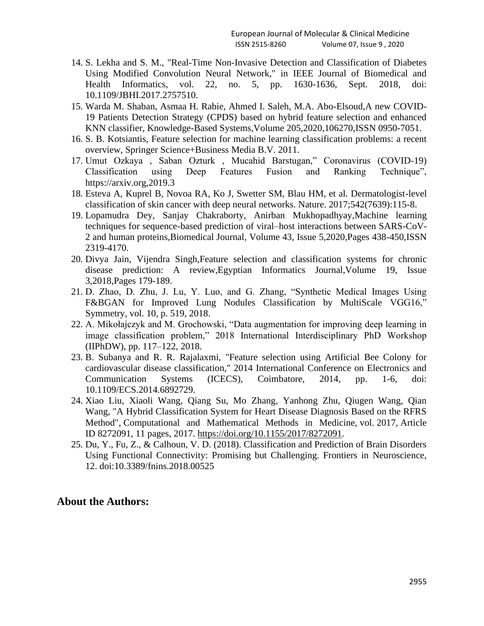- 14. S. Lekha and S. M., "Real-Time Non-Invasive Detection and Classification of Diabetes Using Modified Convolution Neural Network," in IEEE Journal of Biomedical and Health Informatics, vol. 22, no. 5, pp. 1630-1636, Sept. 2018, doi: 10.1109/JBHI.2017.2757510.
- 15. Warda M. Shaban, Asmaa H. Rabie, Ahmed I. Saleh, M.A. Abo-Elsoud,A new COVID-19 Patients Detection Strategy (CPDS) based on hybrid feature selection and enhanced KNN classifier, Knowledge-Based Systems,Volume 205,2020,106270,ISSN 0950-7051.
- 16. S. B. Kotsiantis, Feature selection for machine learning classification problems: a recent overview, Springer Science+Business Media B.V. 2011.
- 17. Umut Ozkaya , Saban Ozturk , Mucahid Barstugan," Coronavirus (COVID-19) Classification using Deep Features Fusion and Ranking Technique", https://arxiv.org,2019.3
- 18. Esteva A, Kuprel B, Novoa RA, Ko J, Swetter SM, Blau HM, et al. Dermatologist-level classification of skin cancer with deep neural networks. Nature. 2017;542(7639):115-8.
- 19. Lopamudra Dey, Sanjay Chakraborty, Anirban Mukhopadhyay,Machine learning techniques for sequence-based prediction of viral–host interactions between SARS-CoV-2 and human proteins,Biomedical Journal, Volume 43, Issue 5,2020,Pages 438-450,ISSN 2319-4170.
- 20. Divya Jain, Vijendra Singh,Feature selection and classification systems for chronic disease prediction: A review,Egyptian Informatics Journal,Volume 19, Issue 3,2018,Pages 179-189.
- 21. D. Zhao, D. Zhu, J. Lu, Y. Luo, and G. Zhang, "Synthetic Medical Images Using F&BGAN for Improved Lung Nodules Classification by MultiScale VGG16," Symmetry, vol. 10, p. 519, 2018.
- 22. A. Mikołajczyk and M. Grochowski, "Data augmentation for improving deep learning in image classification problem," 2018 International Interdisciplinary PhD Workshop (IIPhDW), pp. 117–122, 2018.
- 23. B. Subanya and R. R. Rajalaxmi, "Feature selection using Artificial Bee Colony for cardiovascular disease classification," 2014 International Conference on Electronics and Communication Systems (ICECS), Coimbatore, 2014, pp. 1-6, doi: 10.1109/ECS.2014.6892729.
- 24. Xiao Liu, Xiaoli Wang, Qiang Su, Mo Zhang, Yanhong Zhu, Qiugen Wang, Qian Wang, "A Hybrid Classification System for Heart Disease Diagnosis Based on the RFRS Method", Computational and Mathematical Methods in Medicine, vol. 2017, Article ID 8272091, 11 pages, 2017. [https://doi.org/10.1155/2017/8272091.](https://doi.org/10.1155/2017/8272091)
- 25. Du, Y., Fu, Z., & Calhoun, V. D. (2018). Classification and Prediction of Brain Disorders Using Functional Connectivity: Promising but Challenging. Frontiers in Neuroscience, 12. doi:10.3389/fnins.2018.00525

## **About the Authors:**